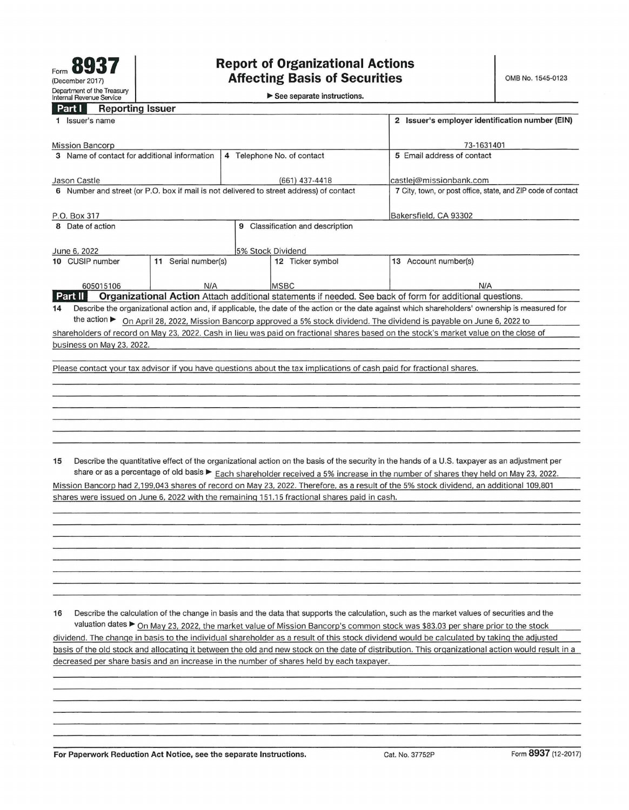▶ See separate instructions.

## **Part L. Reporting Issuer**

| 1 Issuer's name                                                                                                                      |                                                                                                             | 2 Issuer's employer identification number (EIN)                                                                                                 |  |  |  |
|--------------------------------------------------------------------------------------------------------------------------------------|-------------------------------------------------------------------------------------------------------------|-------------------------------------------------------------------------------------------------------------------------------------------------|--|--|--|
| <b>Mission Bancorp</b>                                                                                                               | 73-1631401                                                                                                  |                                                                                                                                                 |  |  |  |
| 3 Name of contact for additional information                                                                                         | 4 Telephone No. of contact                                                                                  | 5 Email address of contact                                                                                                                      |  |  |  |
| Jason Castle                                                                                                                         | $(661)$ 437-4418                                                                                            | castlej@missionbank.com                                                                                                                         |  |  |  |
| 6 Number and street (or P.O. box if mail is not delivered to street address) of contact                                              |                                                                                                             | 7 City, town, or post office, state, and ZIP code of contact                                                                                    |  |  |  |
| P.O. Box 317                                                                                                                         | Bakersfield, CA 93302                                                                                       |                                                                                                                                                 |  |  |  |
| Classification and description<br>8 Date of action<br>9                                                                              |                                                                                                             |                                                                                                                                                 |  |  |  |
| June 6, 2022                                                                                                                         | 5% Stock Dividend                                                                                           |                                                                                                                                                 |  |  |  |
| Serial number(s)<br>10 CUSIP number<br>11                                                                                            | Ticker symbol<br>12                                                                                         | Account number(s)<br>13                                                                                                                         |  |  |  |
| 605015106<br>N/A                                                                                                                     | <b>MSBC</b>                                                                                                 | N/A                                                                                                                                             |  |  |  |
| Part II                                                                                                                              | Organizational Action Attach additional statements if needed. See back of form for additional questions.    |                                                                                                                                                 |  |  |  |
| 14                                                                                                                                   |                                                                                                             | Describe the organizational action and, if applicable, the date of the action or the date against which shareholders' ownership is measured for |  |  |  |
| the action $\blacktriangleright$                                                                                                     | On April 28, 2022, Mission Bancorp approved a 5% stock dividend. The dividend is payable on June 6, 2022 to |                                                                                                                                                 |  |  |  |
| shareholders of record on May 23, 2022. Cash in lieu was paid on fractional shares based on the stock's market value on the close of |                                                                                                             |                                                                                                                                                 |  |  |  |
| business on May 23, 2022.                                                                                                            |                                                                                                             |                                                                                                                                                 |  |  |  |
|                                                                                                                                      |                                                                                                             |                                                                                                                                                 |  |  |  |
| Please contact your tax advisor if you have questions about the tax implications of cash paid for fractional shares.                 |                                                                                                             |                                                                                                                                                 |  |  |  |

**15** Describe the quantitative effect of the organizational action on the basis of the security in the hands of a U.S. taxpayer as an adjustment per share or as a percentage of old basis ► Each shareholder received a 5% increase in the number of shares they held on May 23, 2022. Mission Bancorp had 2,199,043 shares of record on May 23, 2022. Therefore, as a result of the 5% stock dividend. an additional 109,801 shares were issued on June 6, 2022 with the remaining 151.15 fractional shares paid in cash.

**16** Describe the calculation of the change in basis and the data that supports the calculation, such as the market values of securities and the valuation dates ► On May 23, 2022, the market value of Mission Bancorp's common stock was \$83 .03 per share prior to the stock dividend. The change in basis to the individual shareholder as a result of this stock dividend would be calculated by taking the adjusted basis of the old stock and allocating it between the old and new stock on the date of distribution. This organizational action would result in a decreased per share basis and an increase in the number of shares held by each taxpayer.

**For Paperwork Reduction Act Notice, see the separate Instructions. Cat. No. 37752P Form 8937 (12-2017)**